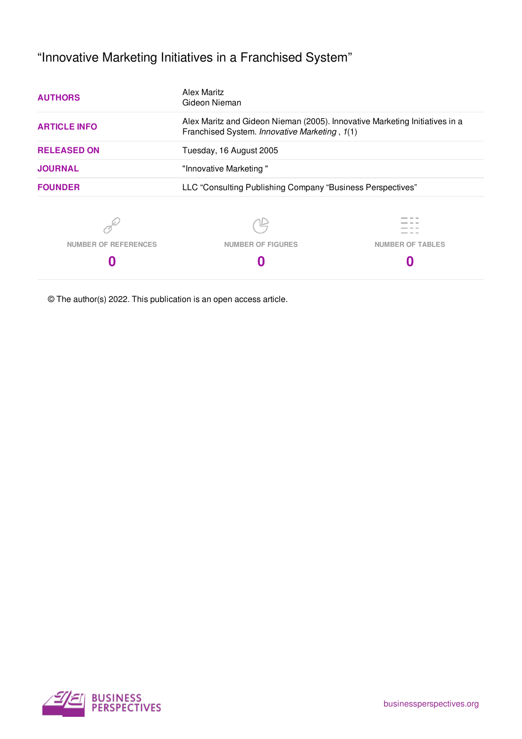# "Innovative Marketing Initiatives in a Franchised System"

| <b>AUTHORS</b>              | Alex Maritz<br>Gideon Nieman                                                                                                                            |                                                            |  |  |  |  |  |
|-----------------------------|---------------------------------------------------------------------------------------------------------------------------------------------------------|------------------------------------------------------------|--|--|--|--|--|
| <b>ARTICLE INFO</b>         | Alex Maritz and Gideon Nieman (2005). Innovative Marketing Initiatives in a<br>Franchised System. Innovative Marketing, 1(1)<br>Tuesday, 16 August 2005 |                                                            |  |  |  |  |  |
| <b>RELEASED ON</b>          |                                                                                                                                                         |                                                            |  |  |  |  |  |
| <b>JOURNAL</b>              | "Innovative Marketing"                                                                                                                                  |                                                            |  |  |  |  |  |
| <b>FOUNDER</b>              |                                                                                                                                                         | LLC "Consulting Publishing Company "Business Perspectives" |  |  |  |  |  |
|                             |                                                                                                                                                         | --                                                         |  |  |  |  |  |
| <b>NUMBER OF REFERENCES</b> | <b>NUMBER OF FIGURES</b>                                                                                                                                | <b>NUMBER OF TABLES</b>                                    |  |  |  |  |  |
|                             |                                                                                                                                                         |                                                            |  |  |  |  |  |

© The author(s) 2022. This publication is an open access article.

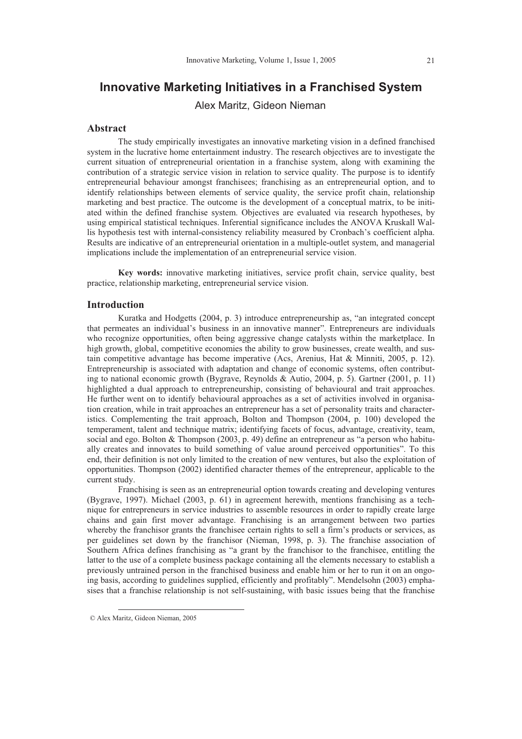# **Innovative Marketing Initiatives in a Franchised System**

Alex Maritz, Gideon Nieman

#### **Abstract**

The study empirically investigates an innovative marketing vision in a defined franchised system in the lucrative home entertainment industry. The research objectives are to investigate the current situation of entrepreneurial orientation in a franchise system, along with examining the contribution of a strategic service vision in relation to service quality. The purpose is to identify entrepreneurial behaviour amongst franchisees; franchising as an entrepreneurial option, and to identify relationships between elements of service quality, the service profit chain, relationship marketing and best practice. The outcome is the development of a conceptual matrix, to be initiated within the defined franchise system. Objectives are evaluated via research hypotheses, by using empirical statistical techniques. Inferential significance includes the ANOVA Kruskall Wallis hypothesis test with internal-consistency reliability measured by Cronbach's coefficient alpha. Results are indicative of an entrepreneurial orientation in a multiple-outlet system, and managerial implications include the implementation of an entrepreneurial service vision.

**Key words:** innovative marketing initiatives, service profit chain, service quality, best practice, relationship marketing, entrepreneurial service vision.

## **Introduction**

Kuratka and Hodgetts (2004, p. 3) introduce entrepreneurship as, "an integrated concept that permeates an individual's business in an innovative manner". Entrepreneurs are individuals who recognize opportunities, often being aggressive change catalysts within the marketplace. In high growth, global, competitive economies the ability to grow businesses, create wealth, and sustain competitive advantage has become imperative (Acs, Arenius, Hat & Minniti, 2005, p. 12). Entrepreneurship is associated with adaptation and change of economic systems, often contributing to national economic growth (Bygrave, Reynolds & Autio, 2004, p. 5). Gartner (2001, p. 11) highlighted a dual approach to entrepreneurship, consisting of behavioural and trait approaches. He further went on to identify behavioural approaches as a set of activities involved in organisation creation, while in trait approaches an entrepreneur has a set of personality traits and characteristics. Complementing the trait approach, Bolton and Thompson (2004, p. 100) developed the temperament, talent and technique matrix; identifying facets of focus, advantage, creativity, team, social and ego. Bolton & Thompson (2003, p. 49) define an entrepreneur as "a person who habitually creates and innovates to build something of value around perceived opportunities". To this end, their definition is not only limited to the creation of new ventures, but also the exploitation of opportunities. Thompson (2002) identified character themes of the entrepreneur, applicable to the current study.

Franchising is seen as an entrepreneurial option towards creating and developing ventures (Bygrave, 1997). Michael (2003, p. 61) in agreement herewith, mentions franchising as a technique for entrepreneurs in service industries to assemble resources in order to rapidly create large chains and gain first mover advantage. Franchising is an arrangement between two parties whereby the franchisor grants the franchisee certain rights to sell a firm's products or services, as per guidelines set down by the franchisor (Nieman, 1998, p. 3). The franchise association of Southern Africa defines franchising as "a grant by the franchisor to the franchisee, entitling the latter to the use of a complete business package containing all the elements necessary to establish a previously untrained person in the franchised business and enable him or her to run it on an ongoing basis, according to guidelines supplied, efficiently and profitably". Mendelsohn (2003) emphasises that a franchise relationship is not self-sustaining, with basic issues being that the franchise

 $\overline{a}$ 

 <sup>©</sup> Alex Maritz, Gideon Nieman, 2005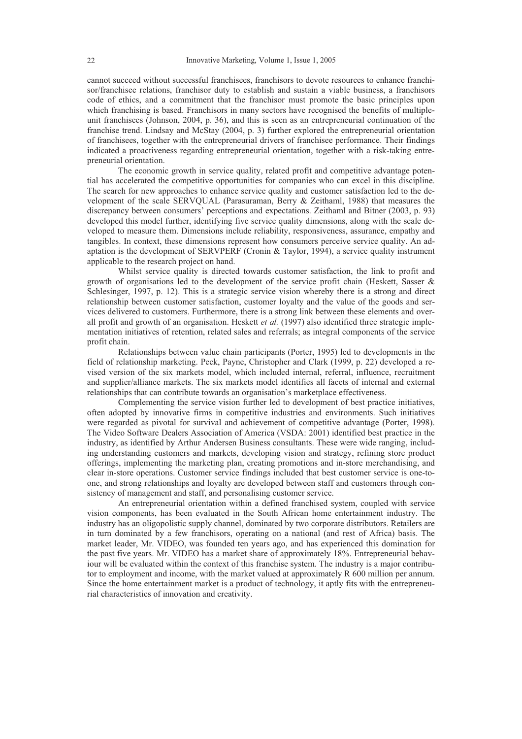cannot succeed without successful franchisees, franchisors to devote resources to enhance franchisor/franchisee relations, franchisor duty to establish and sustain a viable business, a franchisors code of ethics, and a commitment that the franchisor must promote the basic principles upon which franchising is based. Franchisors in many sectors have recognised the benefits of multipleunit franchisees (Johnson, 2004, p. 36), and this is seen as an entrepreneurial continuation of the franchise trend. Lindsay and McStay (2004, p. 3) further explored the entrepreneurial orientation of franchisees, together with the entrepreneurial drivers of franchisee performance. Their findings indicated a proactiveness regarding entrepreneurial orientation, together with a risk-taking entrepreneurial orientation.

The economic growth in service quality, related profit and competitive advantage potential has accelerated the competitive opportunities for companies who can excel in this discipline. The search for new approaches to enhance service quality and customer satisfaction led to the development of the scale SERVQUAL (Parasuraman, Berry & Zeithaml, 1988) that measures the discrepancy between consumers' perceptions and expectations. Zeithaml and Bitner (2003, p. 93) developed this model further, identifying five service quality dimensions, along with the scale developed to measure them. Dimensions include reliability, responsiveness, assurance, empathy and tangibles. In context, these dimensions represent how consumers perceive service quality. An adaptation is the development of SERVPERF (Cronin & Taylor, 1994), a service quality instrument applicable to the research project on hand.

Whilst service quality is directed towards customer satisfaction, the link to profit and growth of organisations led to the development of the service profit chain (Heskett, Sasser  $\&$ Schlesinger, 1997, p. 12). This is a strategic service vision whereby there is a strong and direct relationship between customer satisfaction, customer loyalty and the value of the goods and services delivered to customers. Furthermore, there is a strong link between these elements and overall profit and growth of an organisation. Heskett *et al.* (1997) also identified three strategic implementation initiatives of retention, related sales and referrals; as integral components of the service profit chain.

Relationships between value chain participants (Porter, 1995) led to developments in the field of relationship marketing. Peck, Payne, Christopher and Clark (1999, p. 22) developed a revised version of the six markets model, which included internal, referral, influence, recruitment and supplier/alliance markets. The six markets model identifies all facets of internal and external relationships that can contribute towards an organisation's marketplace effectiveness.

Complementing the service vision further led to development of best practice initiatives, often adopted by innovative firms in competitive industries and environments. Such initiatives were regarded as pivotal for survival and achievement of competitive advantage (Porter, 1998). The Video Software Dealers Association of America (VSDA: 2001) identified best practice in the industry, as identified by Arthur Andersen Business consultants. These were wide ranging, including understanding customers and markets, developing vision and strategy, refining store product offerings, implementing the marketing plan, creating promotions and in-store merchandising, and clear in-store operations. Customer service findings included that best customer service is one-toone, and strong relationships and loyalty are developed between staff and customers through consistency of management and staff, and personalising customer service.

An entrepreneurial orientation within a defined franchised system, coupled with service vision components, has been evaluated in the South African home entertainment industry. The industry has an oligopolistic supply channel, dominated by two corporate distributors. Retailers are in turn dominated by a few franchisors, operating on a national (and rest of Africa) basis. The market leader, Mr. VIDEO, was founded ten years ago, and has experienced this domination for the past five years. Mr. VIDEO has a market share of approximately 18%. Entrepreneurial behaviour will be evaluated within the context of this franchise system. The industry is a major contributor to employment and income, with the market valued at approximately R 600 million per annum. Since the home entertainment market is a product of technology, it aptly fits with the entrepreneurial characteristics of innovation and creativity.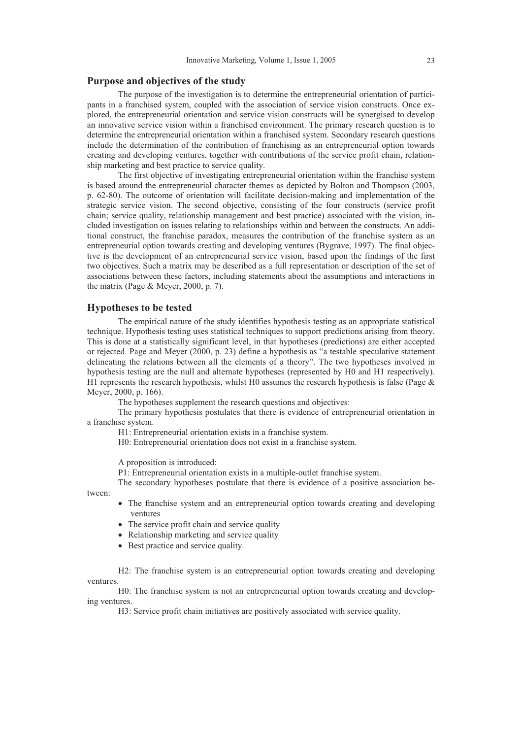# **Purpose and objectives of the study**

The purpose of the investigation is to determine the entrepreneurial orientation of participants in a franchised system, coupled with the association of service vision constructs. Once explored, the entrepreneurial orientation and service vision constructs will be synergised to develop an innovative service vision within a franchised environment. The primary research question is to determine the entrepreneurial orientation within a franchised system. Secondary research questions include the determination of the contribution of franchising as an entrepreneurial option towards creating and developing ventures, together with contributions of the service profit chain, relationship marketing and best practice to service quality.

The first objective of investigating entrepreneurial orientation within the franchise system is based around the entrepreneurial character themes as depicted by Bolton and Thompson (2003, p. 62-80). The outcome of orientation will facilitate decision-making and implementation of the strategic service vision. The second objective, consisting of the four constructs (service profit chain; service quality, relationship management and best practice) associated with the vision, included investigation on issues relating to relationships within and between the constructs. An additional construct, the franchise paradox, measures the contribution of the franchise system as an entrepreneurial option towards creating and developing ventures (Bygrave, 1997). The final objective is the development of an entrepreneurial service vision, based upon the findings of the first two objectives. Such a matrix may be described as a full representation or description of the set of associations between these factors, including statements about the assumptions and interactions in the matrix (Page & Meyer, 2000, p. 7).

#### **Hypotheses to be tested**

The empirical nature of the study identifies hypothesis testing as an appropriate statistical technique. Hypothesis testing uses statistical techniques to support predictions arising from theory. This is done at a statistically significant level, in that hypotheses (predictions) are either accepted or rejected. Page and Meyer (2000, p. 23) define a hypothesis as "a testable speculative statement delineating the relations between all the elements of a theory". The two hypotheses involved in hypothesis testing are the null and alternate hypotheses (represented by H0 and H1 respectively). H1 represents the research hypothesis, whilst H0 assumes the research hypothesis is false (Page  $\&$ Meyer, 2000, p. 166).

The hypotheses supplement the research questions and objectives:

The primary hypothesis postulates that there is evidence of entrepreneurial orientation in a franchise system.

H1: Entrepreneurial orientation exists in a franchise system.

H0: Entrepreneurial orientation does not exist in a franchise system.

A proposition is introduced:

P1: Entrepreneurial orientation exists in a multiple-outlet franchise system.

The secondary hypotheses postulate that there is evidence of a positive association between:

- The franchise system and an entrepreneurial option towards creating and developing ventures
- The service profit chain and service quality
- Relationship marketing and service quality
- Best practice and service quality.

H2: The franchise system is an entrepreneurial option towards creating and developing ventures.

H0: The franchise system is not an entrepreneurial option towards creating and developing ventures.

H3: Service profit chain initiatives are positively associated with service quality.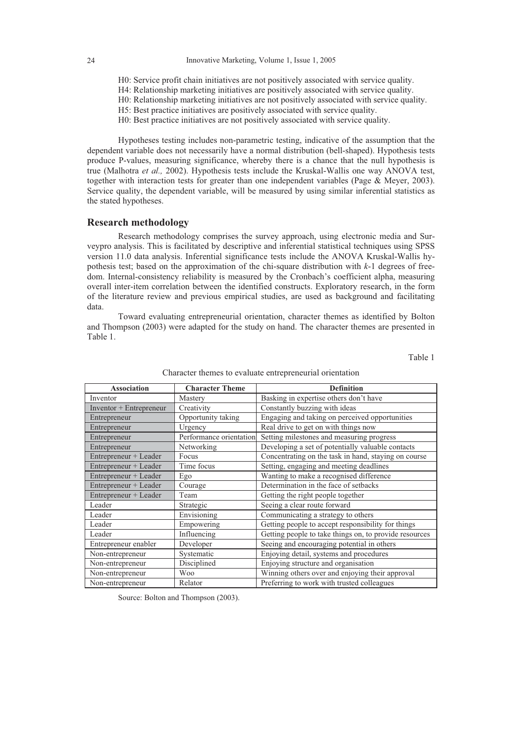- H0: Service profit chain initiatives are not positively associated with service quality.
- H4: Relationship marketing initiatives are positively associated with service quality.
- H0: Relationship marketing initiatives are not positively associated with service quality.
- H5: Best practice initiatives are positively associated with service quality.
- H0: Best practice initiatives are not positively associated with service quality.

Hypotheses testing includes non-parametric testing, indicative of the assumption that the dependent variable does not necessarily have a normal distribution (bell-shaped). Hypothesis tests produce P-values, measuring significance, whereby there is a chance that the null hypothesis is true (Malhotra *et al.,* 2002). Hypothesis tests include the Kruskal-Wallis one way ANOVA test, together with interaction tests for greater than one independent variables (Page & Meyer, 2003). Service quality, the dependent variable, will be measured by using similar inferential statistics as the stated hypotheses.

#### **Research methodology**

Research methodology comprises the survey approach, using electronic media and Surveypro analysis. This is facilitated by descriptive and inferential statistical techniques using SPSS version 11.0 data analysis. Inferential significance tests include the ANOVA Kruskal-Wallis hypothesis test; based on the approximation of the chi-square distribution with *k*-1 degrees of freedom. Internal-consistency reliability is measured by the Cronbach's coefficient alpha, measuring overall inter-item correlation between the identified constructs. Exploratory research, in the form of the literature review and previous empirical studies, are used as background and facilitating data.

Toward evaluating entrepreneurial orientation, character themes as identified by Bolton and Thompson (2003) were adapted for the study on hand. The character themes are presented in Table 1.

Table 1

| <b>Association</b>      | <b>Character Theme</b>  | <b>Definition</b>                                      |
|-------------------------|-------------------------|--------------------------------------------------------|
| Inventor                | Mastery                 | Basking in expertise others don't have                 |
| Inventor + Entrepreneur | Creativity              | Constantly buzzing with ideas                          |
| Entrepreneur            | Opportunity taking      | Engaging and taking on perceived opportunities         |
| Entrepreneur            | Urgency                 | Real drive to get on with things now                   |
| Entrepreneur            | Performance orientation | Setting milestones and measuring progress              |
| Entrepreneur            | Networking              | Developing a set of potentially valuable contacts      |
| Entrepreneur + Leader   | Focus                   | Concentrating on the task in hand, staying on course   |
| Entrepreneur + Leader   | Time focus              | Setting, engaging and meeting deadlines                |
| Entrepreneur + Leader   | Ego                     | Wanting to make a recognised difference                |
| Entrepreneur + Leader   | Courage                 | Determination in the face of setbacks                  |
| Entrepreneur + Leader   | Team                    | Getting the right people together                      |
| Leader                  | Strategic               | Seeing a clear route forward                           |
| Leader                  | Envisioning             | Communicating a strategy to others                     |
| Leader                  | Empowering              | Getting people to accept responsibility for things     |
| Leader                  | Influencing             | Getting people to take things on, to provide resources |
| Entrepreneur enabler    | Developer               | Seeing and encouraging potential in others             |
| Non-entrepreneur        | Systematic              | Enjoying detail, systems and procedures                |
| Non-entrepreneur        | Disciplined             | Enjoying structure and organisation                    |
| Non-entrepreneur        | <b>Woo</b>              | Winning others over and enjoying their approval        |
| Non-entrepreneur        | Relator                 | Preferring to work with trusted colleagues             |

#### Character themes to evaluate entrepreneurial orientation

Source: Bolton and Thompson (2003).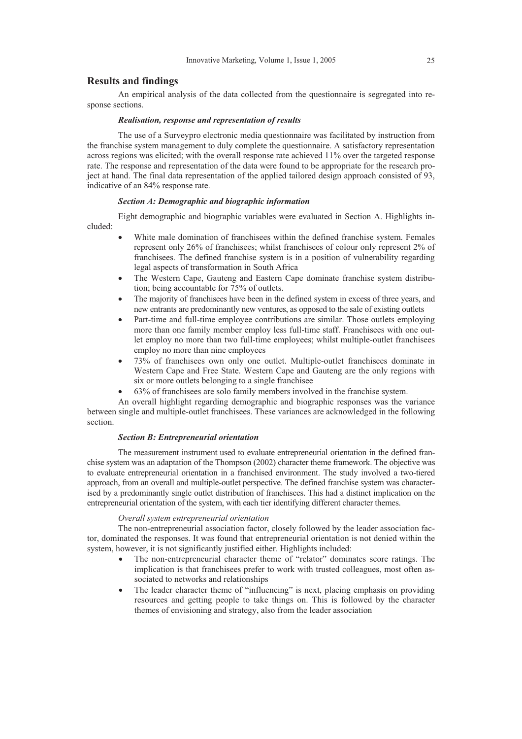#### **Results and findings**

An empirical analysis of the data collected from the questionnaire is segregated into response sections.

#### *Realisation, response and representation of results*

The use of a Surveypro electronic media questionnaire was facilitated by instruction from the franchise system management to duly complete the questionnaire. A satisfactory representation across regions was elicited; with the overall response rate achieved 11% over the targeted response rate. The response and representation of the data were found to be appropriate for the research project at hand. The final data representation of the applied tailored design approach consisted of 93, indicative of an 84% response rate.

#### *Section A: Demographic and biographic information*

Eight demographic and biographic variables were evaluated in Section A. Highlights included:

- White male domination of franchisees within the defined franchise system. Females represent only 26% of franchisees; whilst franchisees of colour only represent 2% of franchisees. The defined franchise system is in a position of vulnerability regarding legal aspects of transformation in South Africa
- The Western Cape, Gauteng and Eastern Cape dominate franchise system distribution; being accountable for 75% of outlets.
- The majority of franchisees have been in the defined system in excess of three years, and new entrants are predominantly new ventures, as opposed to the sale of existing outlets
- Part-time and full-time employee contributions are similar. Those outlets employing more than one family member employ less full-time staff. Franchisees with one outlet employ no more than two full-time employees; whilst multiple-outlet franchisees employ no more than nine employees
- 73% of franchisees own only one outlet. Multiple-outlet franchisees dominate in Western Cape and Free State. Western Cape and Gauteng are the only regions with six or more outlets belonging to a single franchisee
- x 63% of franchisees are solo family members involved in the franchise system.

An overall highlight regarding demographic and biographic responses was the variance between single and multiple-outlet franchisees. These variances are acknowledged in the following section.

#### *Section B: Entrepreneurial orientation*

The measurement instrument used to evaluate entrepreneurial orientation in the defined franchise system was an adaptation of the Thompson (2002) character theme framework. The objective was to evaluate entrepreneurial orientation in a franchised environment. The study involved a two-tiered approach, from an overall and multiple-outlet perspective. The defined franchise system was characterised by a predominantly single outlet distribution of franchisees. This had a distinct implication on the entrepreneurial orientation of the system, with each tier identifying different character themes.

#### *Overall system entrepreneurial orientation*

The non-entrepreneurial association factor, closely followed by the leader association factor, dominated the responses. It was found that entrepreneurial orientation is not denied within the system, however, it is not significantly justified either. Highlights included:

- The non-entrepreneurial character theme of "relator" dominates score ratings. The implication is that franchisees prefer to work with trusted colleagues, most often associated to networks and relationships
- The leader character theme of "influencing" is next, placing emphasis on providing resources and getting people to take things on. This is followed by the character themes of envisioning and strategy, also from the leader association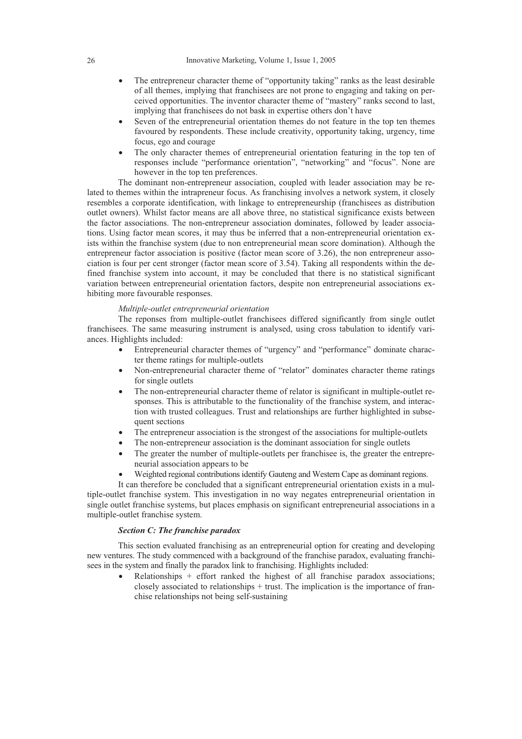- The entrepreneur character theme of "opportunity taking" ranks as the least desirable of all themes, implying that franchisees are not prone to engaging and taking on perceived opportunities. The inventor character theme of "mastery" ranks second to last, implying that franchisees do not bask in expertise others don't have
- Seven of the entrepreneurial orientation themes do not feature in the top ten themes favoured by respondents. These include creativity, opportunity taking, urgency, time focus, ego and courage
- The only character themes of entrepreneurial orientation featuring in the top ten of responses include "performance orientation", "networking" and "focus". None are however in the top ten preferences.

The dominant non-entrepreneur association, coupled with leader association may be related to themes within the intrapreneur focus. As franchising involves a network system, it closely resembles a corporate identification, with linkage to entrepreneurship (franchisees as distribution outlet owners). Whilst factor means are all above three, no statistical significance exists between the factor associations. The non-entrepreneur association dominates, followed by leader associations. Using factor mean scores, it may thus be inferred that a non-entrepreneurial orientation exists within the franchise system (due to non entrepreneurial mean score domination). Although the entrepreneur factor association is positive (factor mean score of 3.26), the non entrepreneur association is four per cent stronger (factor mean score of 3.54). Taking all respondents within the defined franchise system into account, it may be concluded that there is no statistical significant variation between entrepreneurial orientation factors, despite non entrepreneurial associations exhibiting more favourable responses.

#### *Multiple-outlet entrepreneurial orientation*

The reponses from multiple-outlet franchisees differed significantly from single outlet franchisees. The same measuring instrument is analysed, using cross tabulation to identify variances. Highlights included:

- Entrepreneurial character themes of "urgency" and "performance" dominate character theme ratings for multiple-outlets
- Non-entrepreneurial character theme of "relator" dominates character theme ratings for single outlets
- The non-entrepreneurial character theme of relator is significant in multiple-outlet responses. This is attributable to the functionality of the franchise system, and interaction with trusted colleagues. Trust and relationships are further highlighted in subsequent sections
- The entrepreneur association is the strongest of the associations for multiple-outlets
- The non-entrepreneur association is the dominant association for single outlets
- The greater the number of multiple-outlets per franchisee is, the greater the entrepreneurial association appears to be
- Weighted regional contributions identify Gauteng and Western Cape as dominant regions.

It can therefore be concluded that a significant entrepreneurial orientation exists in a multiple-outlet franchise system. This investigation in no way negates entrepreneurial orientation in single outlet franchise systems, but places emphasis on significant entrepreneurial associations in a multiple-outlet franchise system.

#### *Section C: The franchise paradox*

This section evaluated franchising as an entrepreneurial option for creating and developing new ventures. The study commenced with a background of the franchise paradox, evaluating franchisees in the system and finally the paradox link to franchising. Highlights included:

Relationships  $+$  effort ranked the highest of all franchise paradox associations; closely associated to relationships + trust. The implication is the importance of franchise relationships not being self-sustaining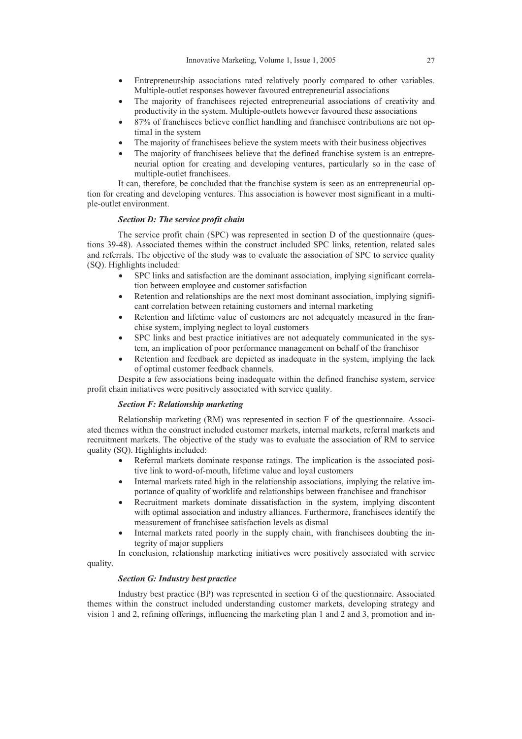- Entrepreneurship associations rated relatively poorly compared to other variables. Multiple-outlet responses however favoured entrepreneurial associations
- The majority of franchisees rejected entrepreneurial associations of creativity and productivity in the system. Multiple-outlets however favoured these associations
- x 87% of franchisees believe conflict handling and franchisee contributions are not optimal in the system
- The majority of franchisees believe the system meets with their business objectives
- The majority of franchisees believe that the defined franchise system is an entrepreneurial option for creating and developing ventures, particularly so in the case of multiple-outlet franchisees.

It can, therefore, be concluded that the franchise system is seen as an entrepreneurial option for creating and developing ventures. This association is however most significant in a multiple-outlet environment.

# *Section D: The service profit chain*

The service profit chain (SPC) was represented in section D of the questionnaire (questions 39-48). Associated themes within the construct included SPC links, retention, related sales and referrals. The objective of the study was to evaluate the association of SPC to service quality (SQ). Highlights included:

- x SPC links and satisfaction are the dominant association, implying significant correlation between employee and customer satisfaction
- Retention and relationships are the next most dominant association, implying significant correlation between retaining customers and internal marketing
- Retention and lifetime value of customers are not adequately measured in the franchise system, implying neglect to loyal customers
- SPC links and best practice initiatives are not adequately communicated in the system, an implication of poor performance management on behalf of the franchisor
- Retention and feedback are depicted as inadequate in the system, implying the lack of optimal customer feedback channels.

Despite a few associations being inadequate within the defined franchise system, service profit chain initiatives were positively associated with service quality.

#### *Section F: Relationship marketing*

Relationship marketing (RM) was represented in section F of the questionnaire. Associated themes within the construct included customer markets, internal markets, referral markets and recruitment markets. The objective of the study was to evaluate the association of RM to service quality (SQ). Highlights included:

- Referral markets dominate response ratings. The implication is the associated positive link to word-of-mouth, lifetime value and loyal customers
- Internal markets rated high in the relationship associations, implying the relative importance of quality of worklife and relationships between franchisee and franchisor
- Recruitment markets dominate dissatisfaction in the system, implying discontent with optimal association and industry alliances. Furthermore, franchisees identify the measurement of franchisee satisfaction levels as dismal
- Internal markets rated poorly in the supply chain, with franchisees doubting the integrity of major suppliers

In conclusion, relationship marketing initiatives were positively associated with service quality.

#### *Section G: Industry best practice*

Industry best practice (BP) was represented in section G of the questionnaire. Associated themes within the construct included understanding customer markets, developing strategy and vision 1 and 2, refining offerings, influencing the marketing plan 1 and 2 and 3, promotion and in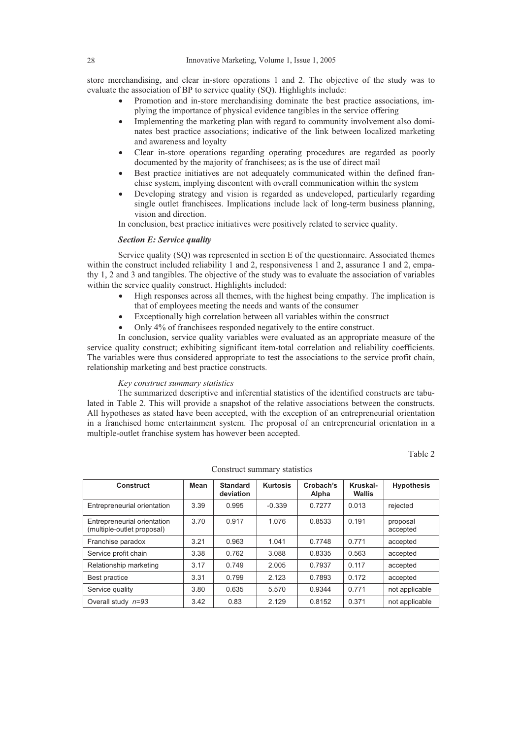store merchandising, and clear in-store operations 1 and 2. The objective of the study was to evaluate the association of BP to service quality (SQ). Highlights include:

- Promotion and in-store merchandising dominate the best practice associations, implying the importance of physical evidence tangibles in the service offering
- Implementing the marketing plan with regard to community involvement also dominates best practice associations; indicative of the link between localized marketing and awareness and loyalty
- Clear in-store operations regarding operating procedures are regarded as poorly documented by the majority of franchisees; as is the use of direct mail
- Best practice initiatives are not adequately communicated within the defined franchise system, implying discontent with overall communication within the system
- Developing strategy and vision is regarded as undeveloped, particularly regarding single outlet franchisees. Implications include lack of long-term business planning, vision and direction.

In conclusion, best practice initiatives were positively related to service quality.

## *Section E: Service quality*

Service quality (SQ) was represented in section E of the questionnaire. Associated themes within the construct included reliability 1 and 2, responsiveness 1 and 2, assurance 1 and 2, empathy 1, 2 and 3 and tangibles. The objective of the study was to evaluate the association of variables within the service quality construct. Highlights included:

- High responses across all themes, with the highest being empathy. The implication is that of employees meeting the needs and wants of the consumer
- Exceptionally high correlation between all variables within the construct
- Only 4% of franchisees responded negatively to the entire construct.

In conclusion, service quality variables were evaluated as an appropriate measure of the service quality construct; exhibiting significant item-total correlation and reliability coefficients. The variables were thus considered appropriate to test the associations to the service profit chain, relationship marketing and best practice constructs.

#### *Key construct summary statistics*

The summarized descriptive and inferential statistics of the identified constructs are tabulated in Table 2. This will provide a snapshot of the relative associations between the constructs. All hypotheses as stated have been accepted, with the exception of an entrepreneurial orientation in a franchised home entertainment system. The proposal of an entrepreneurial orientation in a multiple-outlet franchise system has however been accepted.

Table 2

| Construct                                                 | Mean | <b>Standard</b><br>deviation | <b>Kurtosis</b> | Crobach's<br>Alpha | Kruskal-<br><b>Wallis</b> | <b>Hypothesis</b>    |
|-----------------------------------------------------------|------|------------------------------|-----------------|--------------------|---------------------------|----------------------|
| Entrepreneurial orientation                               | 3.39 | 0.995                        | $-0.339$        | 0.7277             | 0.013                     | rejected             |
| Entrepreneurial orientation<br>(multiple-outlet proposal) | 3.70 | 0.917                        | 1.076           | 0.8533             | 0.191                     | proposal<br>accepted |
| Franchise paradox                                         | 3.21 | 0.963                        | 1.041           | 0.7748             | 0.771                     | accepted             |
| Service profit chain                                      | 3.38 | 0.762                        | 3.088           | 0.8335             | 0.563                     | accepted             |
| Relationship marketing                                    | 3.17 | 0.749                        | 2.005           | 0.7937             | 0.117                     | accepted             |
| Best practice                                             | 3.31 | 0.799                        | 2.123           | 0.7893             | 0.172                     | accepted             |
| Service quality                                           | 3.80 | 0.635                        | 5.570           | 0.9344             | 0.771                     | not applicable       |
| Overall study $n=93$                                      | 3.42 | 0.83                         | 2.129           | 0.8152             | 0.371                     | not applicable       |

Construct summary statistics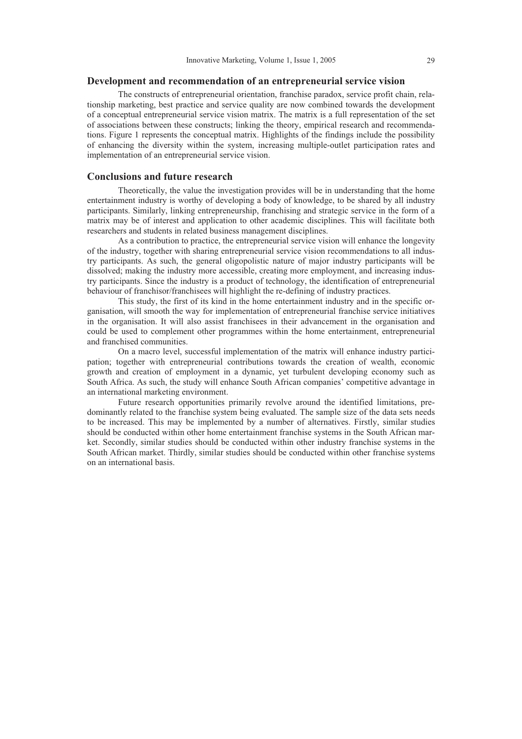#### **Development and recommendation of an entrepreneurial service vision**

The constructs of entrepreneurial orientation, franchise paradox, service profit chain, relationship marketing, best practice and service quality are now combined towards the development of a conceptual entrepreneurial service vision matrix. The matrix is a full representation of the set of associations between these constructs; linking the theory, empirical research and recommendations. Figure 1 represents the conceptual matrix. Highlights of the findings include the possibility of enhancing the diversity within the system, increasing multiple-outlet participation rates and implementation of an entrepreneurial service vision.

# **Conclusions and future research**

Theoretically, the value the investigation provides will be in understanding that the home entertainment industry is worthy of developing a body of knowledge, to be shared by all industry participants. Similarly, linking entrepreneurship, franchising and strategic service in the form of a matrix may be of interest and application to other academic disciplines. This will facilitate both researchers and students in related business management disciplines.

As a contribution to practice, the entrepreneurial service vision will enhance the longevity of the industry, together with sharing entrepreneurial service vision recommendations to all industry participants. As such, the general oligopolistic nature of major industry participants will be dissolved; making the industry more accessible, creating more employment, and increasing industry participants. Since the industry is a product of technology, the identification of entrepreneurial behaviour of franchisor/franchisees will highlight the re-defining of industry practices.

This study, the first of its kind in the home entertainment industry and in the specific organisation, will smooth the way for implementation of entrepreneurial franchise service initiatives in the organisation. It will also assist franchisees in their advancement in the organisation and could be used to complement other programmes within the home entertainment, entrepreneurial and franchised communities.

On a macro level, successful implementation of the matrix will enhance industry participation; together with entrepreneurial contributions towards the creation of wealth, economic growth and creation of employment in a dynamic, yet turbulent developing economy such as South Africa. As such, the study will enhance South African companies' competitive advantage in an international marketing environment.

Future research opportunities primarily revolve around the identified limitations, predominantly related to the franchise system being evaluated. The sample size of the data sets needs to be increased. This may be implemented by a number of alternatives. Firstly, similar studies should be conducted within other home entertainment franchise systems in the South African market. Secondly, similar studies should be conducted within other industry franchise systems in the South African market. Thirdly, similar studies should be conducted within other franchise systems on an international basis.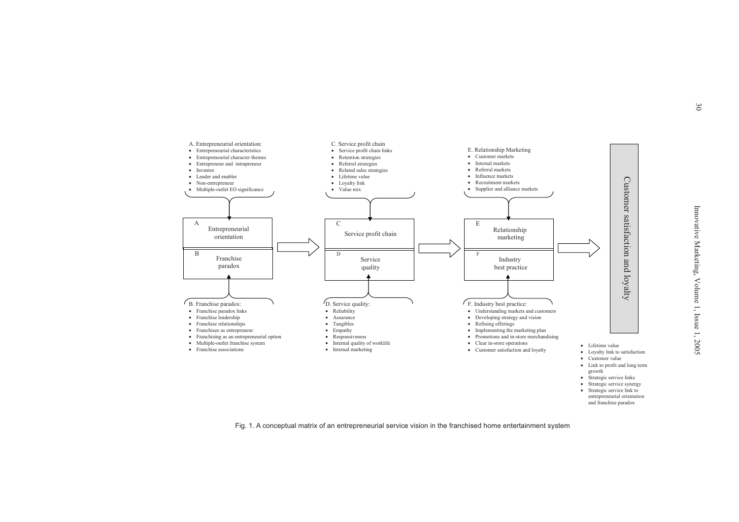and franchise paradox



Fig. 1. A conceptual matrix of an entrepreneurial service vision in the franchised home entertainment system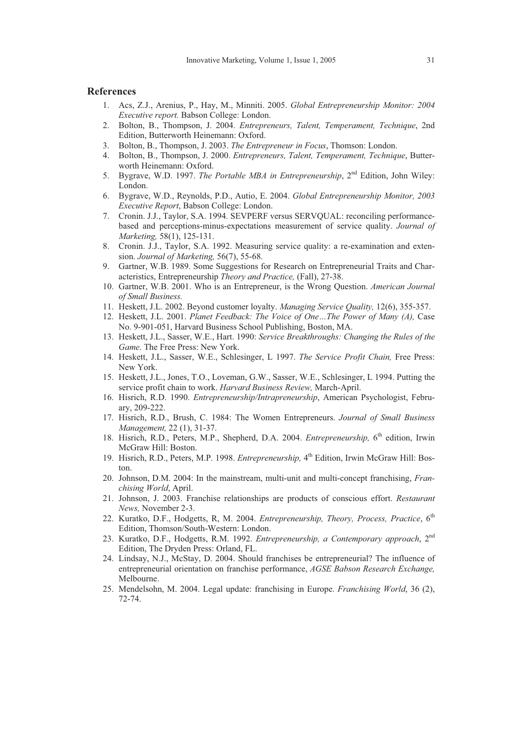# **References**

- 1. Acs, Z.J., Arenius, P., Hay, M., Minniti. 2005. *Global Entrepreneurship Monitor: 2004 Executive report.* Babson College: London.
- 2. Bolton, B., Thompson, J. 2004. *Entrepreneurs, Talent, Temperament, Technique*, 2nd Edition, Butterworth Heinemann: Oxford.
- 3. Bolton, B., Thompson, J. 2003. *The Entrepreneur in Focus*, Thomson: London.
- 4. Bolton, B., Thompson, J. 2000. *Entrepreneurs, Talent, Temperament, Technique*, Butterworth Heinemann: Oxford.
- 5. Bygrave, W.D. 1997. *The Portable MBA in Entrepreneurship*, 2nd Edition, John Wiley: London.
- 6. Bygrave, W.D., Reynolds, P.D., Autio, E. 2004. *Global Entrepreneurship Monitor, 2003 Executive Report*, Babson College: London.
- 7. Cronin. J.J., Taylor, S.A. 1994. SEVPERF versus SERVQUAL: reconciling performancebased and perceptions-minus-expectations measurement of service quality. *Journal of Marketing,* 58(1), 125-131.
- 8. Cronin. J.J., Taylor, S.A. 1992. Measuring service quality: a re-examination and extension. *Journal of Marketing,* 56(7), 55-68.
- 9. Gartner, W.B. 1989. Some Suggestions for Research on Entrepreneurial Traits and Characteristics, Entrepreneurship *Theory and Practice,* (Fall), 27-38.
- 10. Gartner, W.B. 2001. Who is an Entrepreneur, is the Wrong Question. *American Journal of Small Business.*
- 11. Heskett, J.L. 2002. Beyond customer loyalty. *Managing Service Quality,* 12(6), 355-357.
- 12. Heskett, J.L. 2001. *Planet Feedback: The Voice of One…The Power of Many (A),* Case No. 9-901-051, Harvard Business School Publishing, Boston, MA.
- 13. Heskett, J.L., Sasser, W.E., Hart. 1990: *Service Breakthroughs: Changing the Rules of the Game.* The Free Press: New York.
- 14. Heskett, J.L., Sasser, W.E., Schlesinger, L 1997. *The Service Profit Chain,* Free Press: New York.
- 15. Heskett, J.L., Jones, T.O., Loveman, G.W., Sasser, W.E., Schlesinger, L 1994. Putting the service profit chain to work. *Harvard Business Review,* March-April.
- 16. Hisrich, R.D. 1990. *Entrepreneurship/Intrapreneurship*, American Psychologist, February, 209-222.
- 17. Hisrich, R.D., Brush, C. 1984: The Women Entrepreneurs. *Journal of Small Business Management,* 22 (1), 31-37.
- 18. Hisrich, R.D., Peters, M.P., Shepherd, D.A. 2004. *Entrepreneurship*, 6<sup>th</sup> edition, Irwin McGraw Hill: Boston.
- 19. Hisrich, R.D., Peters, M.P. 1998. *Entrepreneurship,* 4<sup>th</sup> Edition, Irwin McGraw Hill: Boston.
- 20. Johnson, D.M. 2004: In the mainstream, multi-unit and multi-concept franchising, *Franchising World*, April.
- 21. Johnson, J. 2003. Franchise relationships are products of conscious effort. *Restaurant News,* November 2-3.
- 22. Kuratko, D.F., Hodgetts, R, M. 2004. *Entrepreneurship, Theory, Process, Practice*, 6th Edition, Thomson/South-Western: London.
- 23. Kuratko, D.F., Hodgetts, R.M. 1992. *Entrepreneurship, a Contemporary approach*, 2nd Edition, The Dryden Press: Orland, FL.
- 24. Lindsay, N.J., McStay, D. 2004. Should franchises be entrepreneurial? The influence of entrepreneurial orientation on franchise performance, *AGSE Babson Research Exchange,* Melbourne.
- 25. Mendelsohn, M. 2004. Legal update: franchising in Europe. *Franchising World*, 36 (2), 72-74.